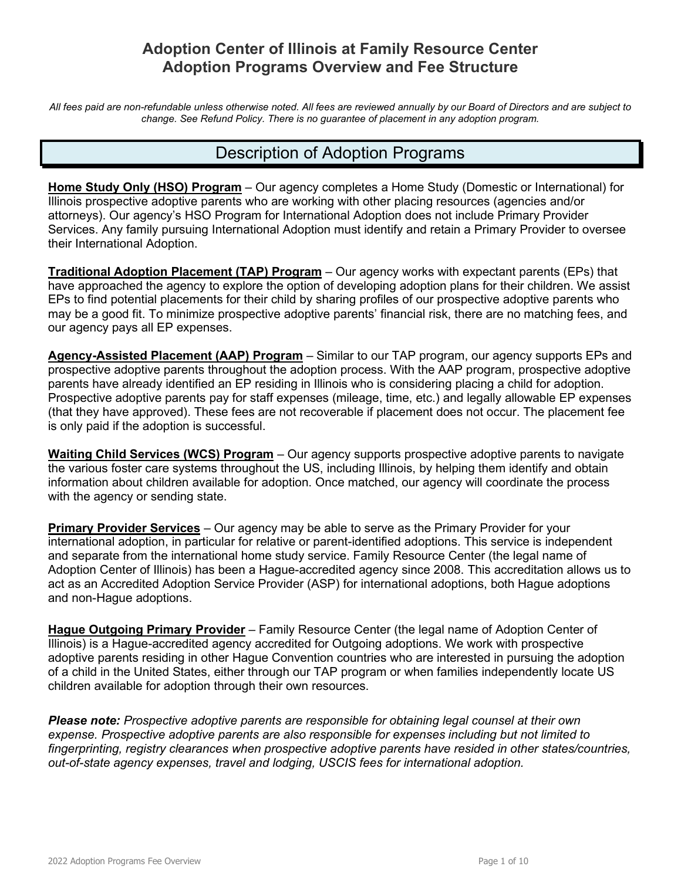# **Adoption Center of Illinois at Family Resource Center Adoption Programs Overview and Fee Structure**

*All fees paid are non-refundable unless otherwise noted. All fees are reviewed annually by our Board of Directors and are subject to change. See Refund Policy. There is no guarantee of placement in any adoption program.*

# Description of Adoption Programs

**Home Study Only (HSO) Program** – Our agency completes a Home Study (Domestic or International) for Illinois prospective adoptive parents who are working with other placing resources (agencies and/or attorneys). Our agency's HSO Program for International Adoption does not include Primary Provider Services. Any family pursuing International Adoption must identify and retain a Primary Provider to oversee their International Adoption.

**Traditional Adoption Placement (TAP) Program** – Our agency works with expectant parents (EPs) that have approached the agency to explore the option of developing adoption plans for their children. We assist EPs to find potential placements for their child by sharing profiles of our prospective adoptive parents who may be a good fit. To minimize prospective adoptive parents' financial risk, there are no matching fees, and our agency pays all EP expenses.

**Agency-Assisted Placement (AAP) Program** – Similar to our TAP program, our agency supports EPs and prospective adoptive parents throughout the adoption process. With the AAP program, prospective adoptive parents have already identified an EP residing in Illinois who is considering placing a child for adoption. Prospective adoptive parents pay for staff expenses (mileage, time, etc.) and legally allowable EP expenses (that they have approved). These fees are not recoverable if placement does not occur. The placement fee is only paid if the adoption is successful.

**Waiting Child Services (WCS) Program** – Our agency supports prospective adoptive parents to navigate the various foster care systems throughout the US, including Illinois, by helping them identify and obtain information about children available for adoption. Once matched, our agency will coordinate the process with the agency or sending state.

**Primary Provider Services** – Our agency may be able to serve as the Primary Provider for your international adoption, in particular for relative or parent-identified adoptions. This service is independent and separate from the international home study service. Family Resource Center (the legal name of Adoption Center of Illinois) has been a Hague-accredited agency since 2008. This accreditation allows us to act as an Accredited Adoption Service Provider (ASP) for international adoptions, both Hague adoptions and non-Hague adoptions.

**Hague Outgoing Primary Provider** – Family Resource Center (the legal name of Adoption Center of Illinois) is a Hague-accredited agency accredited for Outgoing adoptions. We work with prospective adoptive parents residing in other Hague Convention countries who are interested in pursuing the adoption of a child in the United States, either through our TAP program or when families independently locate US children available for adoption through their own resources.

*Please note: Prospective adoptive parents are responsible for obtaining legal counsel at their own expense. Prospective adoptive parents are also responsible for expenses including but not limited to fingerprinting, registry clearances when prospective adoptive parents have resided in other states/countries, out-of-state agency expenses, travel and lodging, USCIS fees for international adoption.*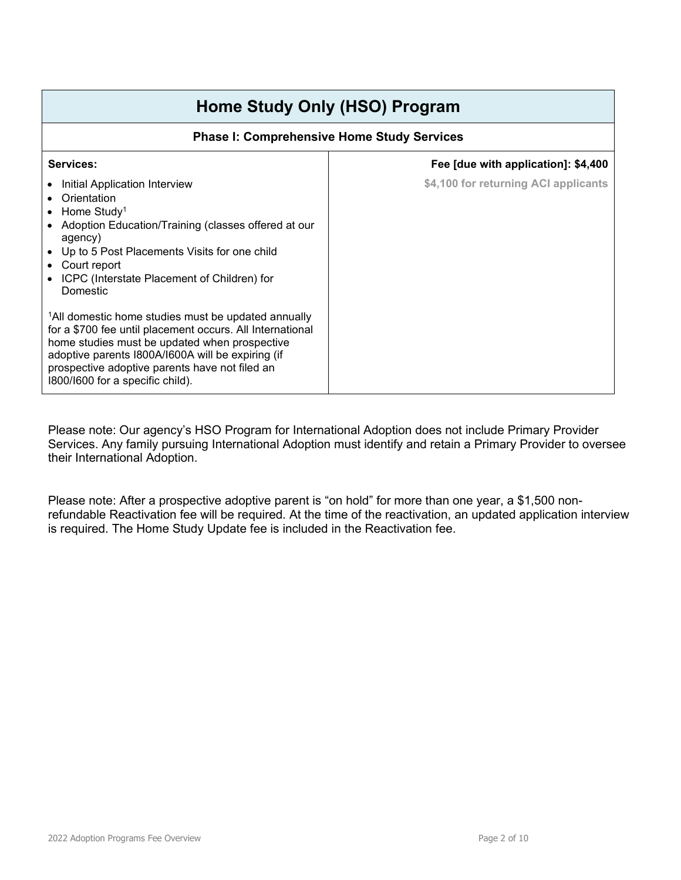# **Home Study Only (HSO) Program**

## **Phase I: Comprehensive Home Study Services**

| Services:                                                                                                                                                                                                                                                                                                                | Fee [due with application]: \$4,400  |
|--------------------------------------------------------------------------------------------------------------------------------------------------------------------------------------------------------------------------------------------------------------------------------------------------------------------------|--------------------------------------|
| Initial Application Interview<br>Orientation<br>$\bullet$ Home Study <sup>1</sup><br>• Adoption Education/Training (classes offered at our<br>agency)<br>• Up to 5 Post Placements Visits for one child<br>• Court report<br>• ICPC (Interstate Placement of Children) for<br>Domestic                                   | \$4,100 for returning ACI applicants |
| <sup>1</sup> All domestic home studies must be updated annually<br>for a \$700 fee until placement occurs. All International<br>home studies must be updated when prospective<br>adoptive parents I800A/I600A will be expiring (if<br>prospective adoptive parents have not filed an<br>1800/1600 for a specific child). |                                      |

Please note: Our agency's HSO Program for International Adoption does not include Primary Provider Services. Any family pursuing International Adoption must identify and retain a Primary Provider to oversee their International Adoption.

Please note: After a prospective adoptive parent is "on hold" for more than one year, a \$1,500 nonrefundable Reactivation fee will be required. At the time of the reactivation, an updated application interview is required. The Home Study Update fee is included in the Reactivation fee.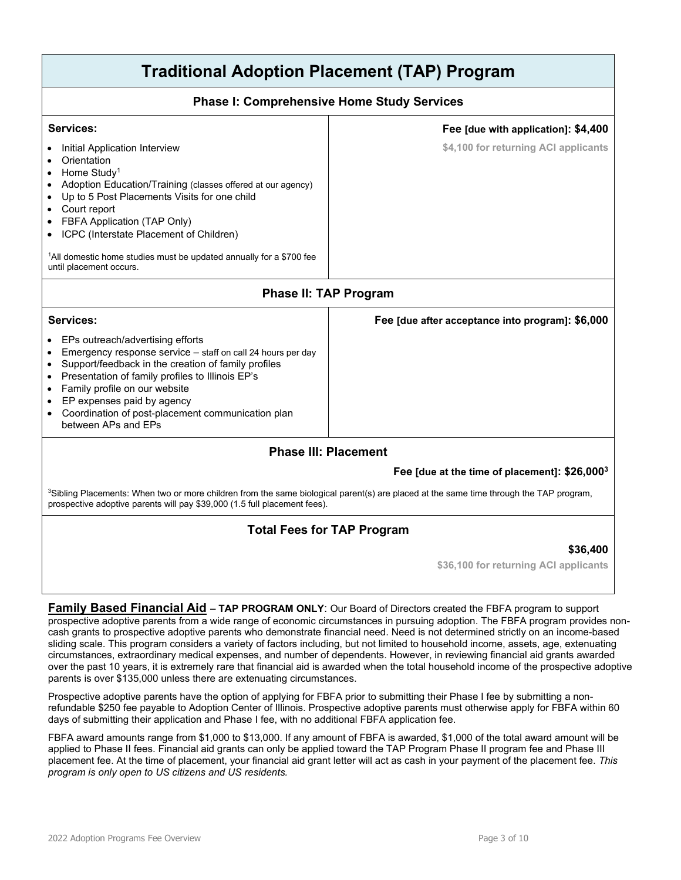# **Traditional Adoption Placement (TAP) Program**

#### **Phase I: Comprehensive Home Study Services**

| Services:<br>Initial Application Interview<br>Orientation<br>Home Study <sup>1</sup><br>Adoption Education/Training (classes offered at our agency)<br>Up to 5 Post Placements Visits for one child<br>Court report<br>FBFA Application (TAP Only)<br>ICPC (Interstate Placement of Children)<br><sup>1</sup> All domestic home studies must be updated annually for a \$700 fee<br>until placement occurs. | Fee [due with application]: \$4,400<br>\$4,100 for returning ACI applicants |
|-------------------------------------------------------------------------------------------------------------------------------------------------------------------------------------------------------------------------------------------------------------------------------------------------------------------------------------------------------------------------------------------------------------|-----------------------------------------------------------------------------|
| <b>Phase II: TAP Program</b>                                                                                                                                                                                                                                                                                                                                                                                |                                                                             |
| Services:                                                                                                                                                                                                                                                                                                                                                                                                   | Fee [due after acceptance into program]: \$6,000                            |
| EPs outreach/advertising efforts<br>Emergency response service - staff on call 24 hours per day<br>Support/feedback in the creation of family profiles<br>Presentation of family profiles to Illinois EP's<br>$\bullet$<br>Family profile on our website<br>EP expenses paid by agency<br>Coordination of post-placement communication plan<br>٠<br>between APs and EPs                                     |                                                                             |
| <b>Phase III: Placement</b>                                                                                                                                                                                                                                                                                                                                                                                 |                                                                             |
|                                                                                                                                                                                                                                                                                                                                                                                                             | Fee [due at the time of placement]: \$26,000 <sup>3</sup>                   |
| <sup>3</sup> Sibling Placements: When two or more children from the same biological parent(s) are placed at the same time through the TAP program,<br>prospective adoptive parents will pay \$39,000 (1.5 full placement fees).                                                                                                                                                                             |                                                                             |

# **Total Fees for TAP Program**

#### **\$36,400**

**\$36,100 for returning ACI applicants**

**Family Based Financial Aid – TAP PROGRAM ONLY**: Our Board of Directors created the FBFA program to support prospective adoptive parents from a wide range of economic circumstances in pursuing adoption. The FBFA program provides noncash grants to prospective adoptive parents who demonstrate financial need. Need is not determined strictly on an income-based sliding scale. This program considers a variety of factors including, but not limited to household income, assets, age, extenuating circumstances, extraordinary medical expenses, and number of dependents. However, in reviewing financial aid grants awarded over the past 10 years, it is extremely rare that financial aid is awarded when the total household income of the prospective adoptive parents is over \$135,000 unless there are extenuating circumstances.

Prospective adoptive parents have the option of applying for FBFA prior to submitting their Phase I fee by submitting a nonrefundable \$250 fee payable to Adoption Center of Illinois. Prospective adoptive parents must otherwise apply for FBFA within 60 days of submitting their application and Phase I fee, with no additional FBFA application fee.

FBFA award amounts range from \$1,000 to \$13,000. If any amount of FBFA is awarded, \$1,000 of the total award amount will be applied to Phase II fees. Financial aid grants can only be applied toward the TAP Program Phase II program fee and Phase III placement fee. At the time of placement, your financial aid grant letter will act as cash in your payment of the placement fee. *This program is only open to US citizens and US residents.*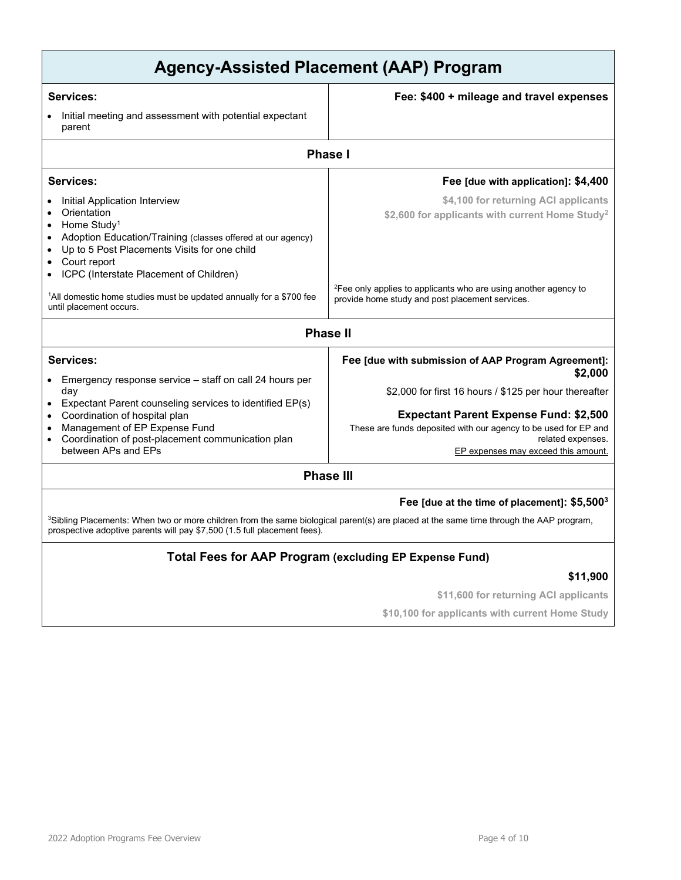| <b>Agency-Assisted Placement (AAP) Program</b>                                                                                                                                                                                                                                                                                       |                                                                                                                                                                                                                                                                                                          |  |
|--------------------------------------------------------------------------------------------------------------------------------------------------------------------------------------------------------------------------------------------------------------------------------------------------------------------------------------|----------------------------------------------------------------------------------------------------------------------------------------------------------------------------------------------------------------------------------------------------------------------------------------------------------|--|
| <b>Services:</b>                                                                                                                                                                                                                                                                                                                     | Fee: \$400 + mileage and travel expenses                                                                                                                                                                                                                                                                 |  |
| Initial meeting and assessment with potential expectant<br>parent                                                                                                                                                                                                                                                                    |                                                                                                                                                                                                                                                                                                          |  |
| <b>Phase I</b>                                                                                                                                                                                                                                                                                                                       |                                                                                                                                                                                                                                                                                                          |  |
| Services:                                                                                                                                                                                                                                                                                                                            | Fee [due with application]: \$4,400                                                                                                                                                                                                                                                                      |  |
| Initial Application Interview<br>Orientation<br>Home Study <sup>1</sup><br>Adoption Education/Training (classes offered at our agency)<br>Up to 5 Post Placements Visits for one child<br>Court report<br>ICPC (Interstate Placement of Children)<br><sup>1</sup> All domestic home studies must be updated annually for a \$700 fee | \$4,100 for returning ACI applicants<br>\$2,600 for applicants with current Home Study <sup>2</sup><br><sup>2</sup> Fee only applies to applicants who are using another agency to<br>provide home study and post placement services.                                                                    |  |
| until placement occurs.                                                                                                                                                                                                                                                                                                              | <b>Phase II</b>                                                                                                                                                                                                                                                                                          |  |
|                                                                                                                                                                                                                                                                                                                                      |                                                                                                                                                                                                                                                                                                          |  |
| Services:<br>Emergency response service – staff on call 24 hours per<br>day<br>Expectant Parent counseling services to identified EP(s)<br>Coordination of hospital plan<br>Management of EP Expense Fund<br>Coordination of post-placement communication plan<br>between APs and FPs                                                | Fee [due with submission of AAP Program Agreement]:<br>\$2,000<br>\$2,000 for first 16 hours / \$125 per hour thereafter<br><b>Expectant Parent Expense Fund: \$2,500</b><br>These are funds deposited with our agency to be used for EP and<br>related expenses.<br>EP expenses may exceed this amount. |  |
| <b>Phase III</b>                                                                                                                                                                                                                                                                                                                     |                                                                                                                                                                                                                                                                                                          |  |

#### **Fee [due at the time of placement]: \$5,5003**

 $^3$ Sibling Placements: When two or more children from the same biological parent(s) are placed at the same time through the AAP program, prospective adoptive parents will pay \$7,500 (1.5 full placement fees).

# **Total Fees for AAP Program (excluding EP Expense Fund)**

## **\$11,900**

**\$11,600 for returning ACI applicants**

**\$10,100 for applicants with current Home Study**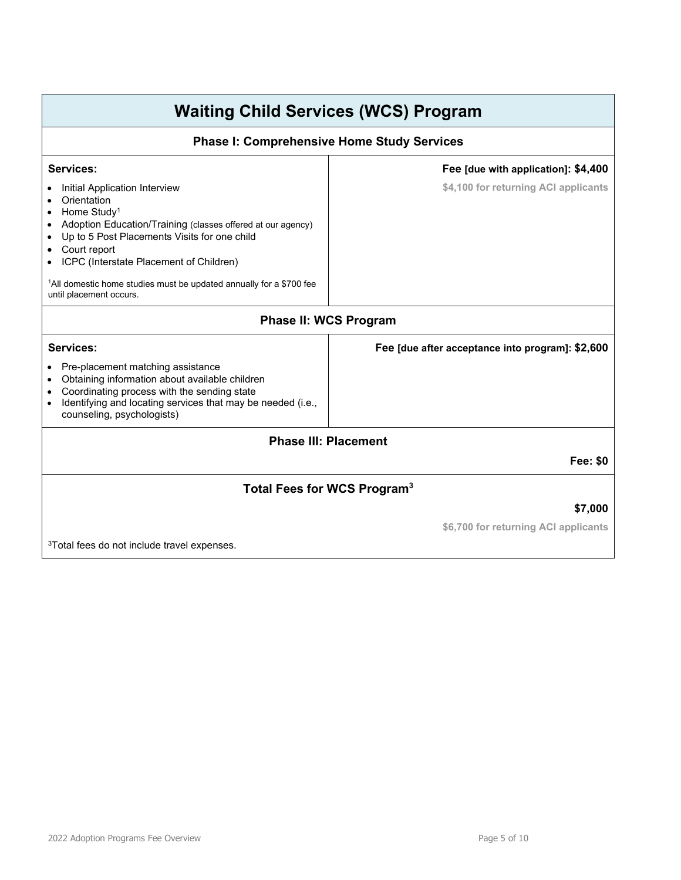# **Waiting Child Services (WCS) Program**

#### **Phase I: Comprehensive Home Study Services**

#### **Services:**

- Initial Application Interview
- Orientation
- Home Study<sup>1</sup>
- Adoption Education/Training (classes offered at our agency)
- Up to 5 Post Placements Visits for one child
- Court report
- ICPC (Interstate Placement of Children)

1 All domestic home studies must be updated annually for a \$700 fee until placement occurs.

#### **Phase II: WCS Program**

#### **Services:**

- Pre-placement matching assistance
- Obtaining information about available children
- Coordinating process with the sending state
- Identifying and locating services that may be needed (i.e., counseling, psychologists)

## **Phase III: Placement**

**Fee: \$0**

# **Total Fees for WCS Program3**

#### **\$7,000**

**\$6,700 for returning ACI applicants**

**Fee [due with application]: \$4,400 \$4,100 for returning ACI applicants**

**Fee [due after acceptance into program]: \$2,600**

3Total fees do not include travel expenses.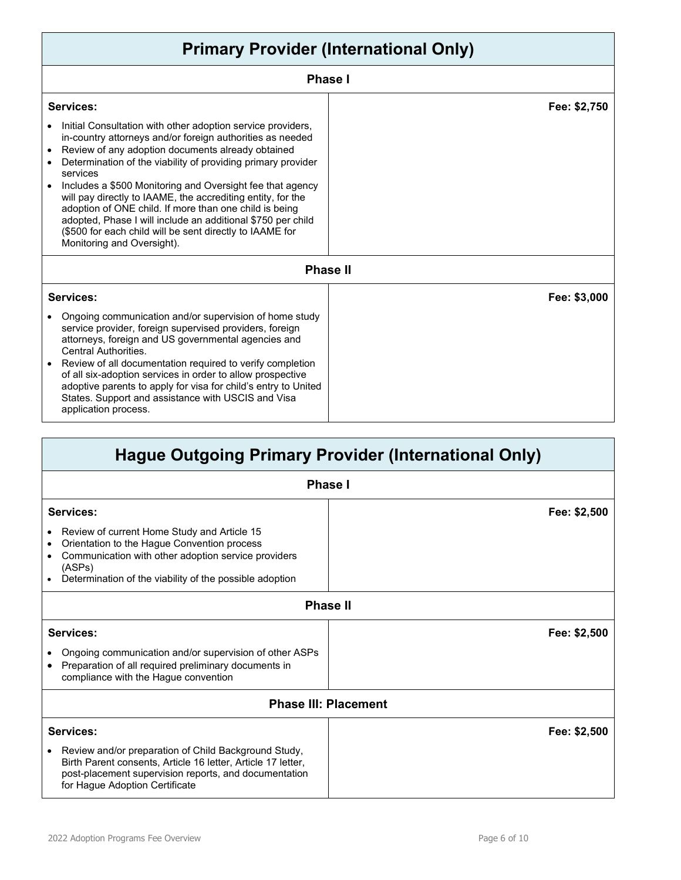| <b>Primary Provider (International Only)</b>                                                                                                                                                                                                                                                                                                                                                                                                                                                                                                                                                                                       |              |
|------------------------------------------------------------------------------------------------------------------------------------------------------------------------------------------------------------------------------------------------------------------------------------------------------------------------------------------------------------------------------------------------------------------------------------------------------------------------------------------------------------------------------------------------------------------------------------------------------------------------------------|--------------|
| <b>Phase I</b>                                                                                                                                                                                                                                                                                                                                                                                                                                                                                                                                                                                                                     |              |
| Services:<br>Initial Consultation with other adoption service providers,<br>in-country attorneys and/or foreign authorities as needed<br>Review of any adoption documents already obtained<br>$\bullet$<br>Determination of the viability of providing primary provider<br>services<br>Includes a \$500 Monitoring and Oversight fee that agency<br>will pay directly to IAAME, the accrediting entity, for the<br>adoption of ONE child. If more than one child is being<br>adopted, Phase I will include an additional \$750 per child<br>(\$500 for each child will be sent directly to IAAME for<br>Monitoring and Oversight). | Fee: \$2,750 |
| <b>Phase II</b>                                                                                                                                                                                                                                                                                                                                                                                                                                                                                                                                                                                                                    |              |
| Services:<br>Ongoing communication and/or supervision of home study<br>service provider, foreign supervised providers, foreign<br>attorneys, foreign and US governmental agencies and<br><b>Central Authorities.</b><br>Review of all documentation required to verify completion<br>of all six-adoption services in order to allow prospective<br>adoptive parents to apply for visa for child's entry to United<br>States. Support and assistance with USCIS and Visa<br>application process.                                                                                                                                    | Fee: \$3,000 |

| <b>Hague Outgoing Primary Provider (International Only)</b>                                                                                                                                                                                                       |              |  |
|-------------------------------------------------------------------------------------------------------------------------------------------------------------------------------------------------------------------------------------------------------------------|--------------|--|
| <b>Phase I</b>                                                                                                                                                                                                                                                    |              |  |
| <b>Services:</b><br>Review of current Home Study and Article 15<br>$\bullet$<br>Orientation to the Hague Convention process<br>٠<br>Communication with other adoption service providers<br>٠<br>(ASPs)<br>Determination of the viability of the possible adoption | Fee: \$2,500 |  |
| <b>Phase II</b>                                                                                                                                                                                                                                                   |              |  |
| Services:                                                                                                                                                                                                                                                         | Fee: \$2,500 |  |
| Ongoing communication and/or supervision of other ASPs<br>Preparation of all required preliminary documents in<br>$\bullet$<br>compliance with the Hague convention                                                                                               |              |  |
| <b>Phase III: Placement</b>                                                                                                                                                                                                                                       |              |  |
| Services:                                                                                                                                                                                                                                                         | Fee: \$2,500 |  |
| Review and/or preparation of Child Background Study,<br>$\bullet$<br>Birth Parent consents, Article 16 letter, Article 17 letter,<br>post-placement supervision reports, and documentation<br>for Hague Adoption Certificate                                      |              |  |

Г

H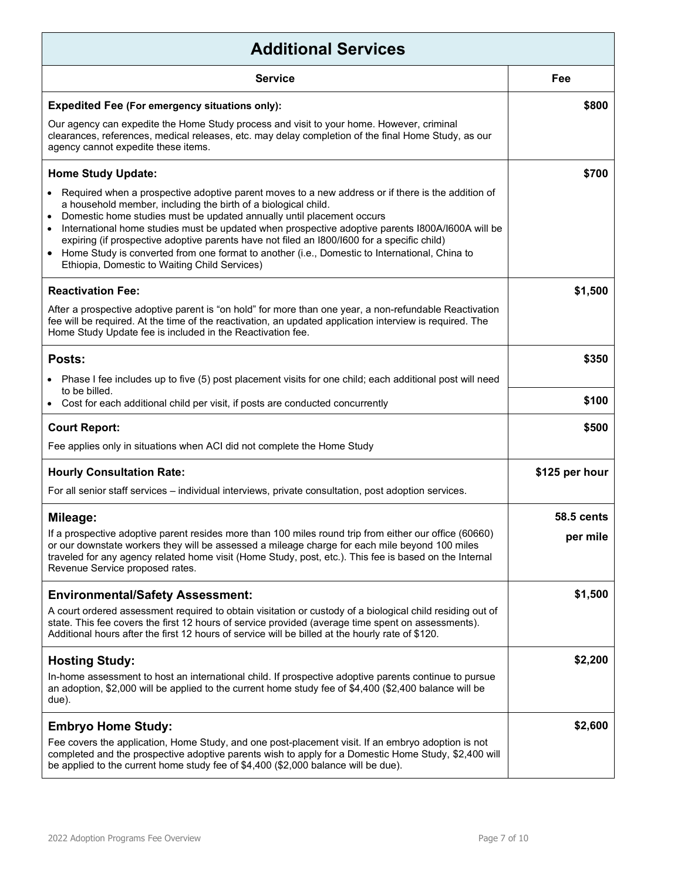| <b>Additional Services</b>                                                                                                                                                                                                                                                                                                                                                                                                                                                                                                                                                                                                  |                   |  |
|-----------------------------------------------------------------------------------------------------------------------------------------------------------------------------------------------------------------------------------------------------------------------------------------------------------------------------------------------------------------------------------------------------------------------------------------------------------------------------------------------------------------------------------------------------------------------------------------------------------------------------|-------------------|--|
| <b>Service</b>                                                                                                                                                                                                                                                                                                                                                                                                                                                                                                                                                                                                              | Fee               |  |
| <b>Expedited Fee (For emergency situations only):</b>                                                                                                                                                                                                                                                                                                                                                                                                                                                                                                                                                                       | \$800             |  |
| Our agency can expedite the Home Study process and visit to your home. However, criminal<br>clearances, references, medical releases, etc. may delay completion of the final Home Study, as our<br>agency cannot expedite these items.                                                                                                                                                                                                                                                                                                                                                                                      |                   |  |
| <b>Home Study Update:</b>                                                                                                                                                                                                                                                                                                                                                                                                                                                                                                                                                                                                   | \$700             |  |
| Required when a prospective adoptive parent moves to a new address or if there is the addition of<br>a household member, including the birth of a biological child.<br>Domestic home studies must be updated annually until placement occurs<br>$\bullet$<br>International home studies must be updated when prospective adoptive parents I800A/I600A will be<br>$\bullet$<br>expiring (if prospective adoptive parents have not filed an I800/I600 for a specific child)<br>Home Study is converted from one format to another (i.e., Domestic to International, China to<br>Ethiopia, Domestic to Waiting Child Services) |                   |  |
| <b>Reactivation Fee:</b>                                                                                                                                                                                                                                                                                                                                                                                                                                                                                                                                                                                                    | \$1,500           |  |
| After a prospective adoptive parent is "on hold" for more than one year, a non-refundable Reactivation<br>fee will be required. At the time of the reactivation, an updated application interview is required. The<br>Home Study Update fee is included in the Reactivation fee.                                                                                                                                                                                                                                                                                                                                            |                   |  |
| Posts:                                                                                                                                                                                                                                                                                                                                                                                                                                                                                                                                                                                                                      | \$350             |  |
| Phase I fee includes up to five (5) post placement visits for one child; each additional post will need<br>to be billed.                                                                                                                                                                                                                                                                                                                                                                                                                                                                                                    |                   |  |
| Cost for each additional child per visit, if posts are conducted concurrently                                                                                                                                                                                                                                                                                                                                                                                                                                                                                                                                               | \$100             |  |
| <b>Court Report:</b>                                                                                                                                                                                                                                                                                                                                                                                                                                                                                                                                                                                                        | \$500             |  |
| Fee applies only in situations when ACI did not complete the Home Study                                                                                                                                                                                                                                                                                                                                                                                                                                                                                                                                                     |                   |  |
| <b>Hourly Consultation Rate:</b>                                                                                                                                                                                                                                                                                                                                                                                                                                                                                                                                                                                            | \$125 per hour    |  |
| For all senior staff services – individual interviews, private consultation, post adoption services.                                                                                                                                                                                                                                                                                                                                                                                                                                                                                                                        |                   |  |
| Mileage:                                                                                                                                                                                                                                                                                                                                                                                                                                                                                                                                                                                                                    | <b>58.5 cents</b> |  |
| If a prospective adoptive parent resides more than 100 miles round trip from either our office (60660)<br>or our downstate workers they will be assessed a mileage charge for each mile beyond 100 miles<br>traveled for any agency related home visit (Home Study, post, etc.). This fee is based on the Internal<br>Revenue Service proposed rates.                                                                                                                                                                                                                                                                       | per mile          |  |
| <b>Environmental/Safety Assessment:</b>                                                                                                                                                                                                                                                                                                                                                                                                                                                                                                                                                                                     | \$1,500           |  |
| A court ordered assessment required to obtain visitation or custody of a biological child residing out of<br>state. This fee covers the first 12 hours of service provided (average time spent on assessments).<br>Additional hours after the first 12 hours of service will be billed at the hourly rate of \$120.                                                                                                                                                                                                                                                                                                         |                   |  |
| <b>Hosting Study:</b>                                                                                                                                                                                                                                                                                                                                                                                                                                                                                                                                                                                                       | \$2,200           |  |
| In-home assessment to host an international child. If prospective adoptive parents continue to pursue<br>an adoption, \$2,000 will be applied to the current home study fee of \$4,400 (\$2,400 balance will be<br>due).                                                                                                                                                                                                                                                                                                                                                                                                    |                   |  |
| <b>Embryo Home Study:</b>                                                                                                                                                                                                                                                                                                                                                                                                                                                                                                                                                                                                   | \$2,600           |  |
| Fee covers the application, Home Study, and one post-placement visit. If an embryo adoption is not<br>completed and the prospective adoptive parents wish to apply for a Domestic Home Study, \$2,400 will<br>be applied to the current home study fee of \$4,400 (\$2,000 balance will be due).                                                                                                                                                                                                                                                                                                                            |                   |  |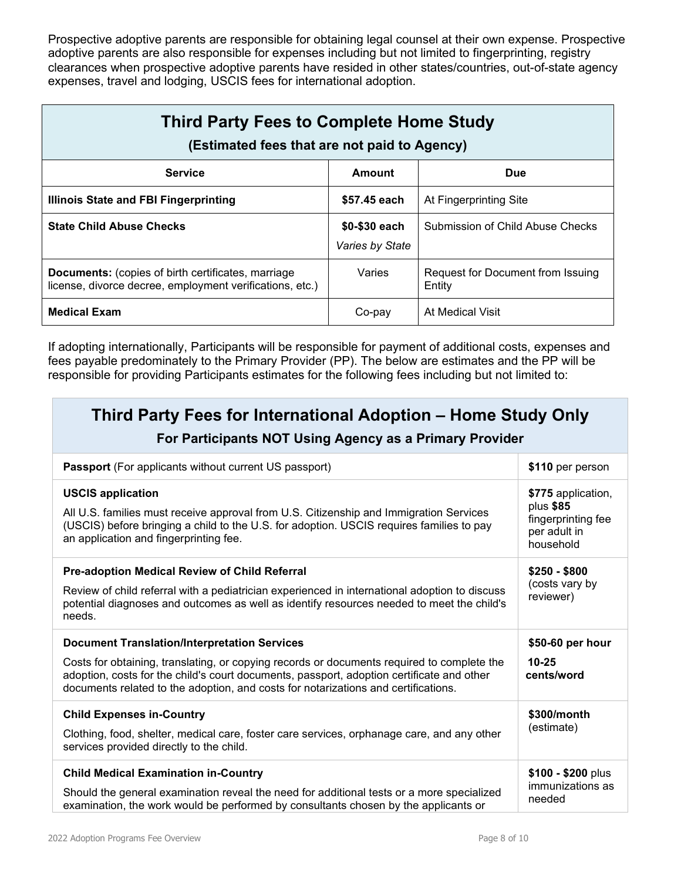Prospective adoptive parents are responsible for obtaining legal counsel at their own expense. Prospective adoptive parents are also responsible for expenses including but not limited to fingerprinting, registry clearances when prospective adoptive parents have resided in other states/countries, out-of-state agency expenses, travel and lodging, USCIS fees for international adoption.

| <b>Third Party Fees to Complete Home Study</b><br>(Estimated fees that are not paid to Agency)                        |                                  |                                             |
|-----------------------------------------------------------------------------------------------------------------------|----------------------------------|---------------------------------------------|
| <b>Service</b>                                                                                                        | Amount                           | Due                                         |
| Illinois State and FBI Fingerprinting                                                                                 | \$57.45 each                     | At Fingerprinting Site                      |
| <b>State Child Abuse Checks</b>                                                                                       | \$0-\$30 each<br>Varies by State | Submission of Child Abuse Checks            |
| <b>Documents:</b> (copies of birth certificates, marriage<br>license, divorce decree, employment verifications, etc.) | Varies                           | Request for Document from Issuing<br>Entity |
| <b>Medical Exam</b>                                                                                                   | Co-pay                           | At Medical Visit                            |

If adopting internationally, Participants will be responsible for payment of additional costs, expenses and fees payable predominately to the Primary Provider (PP). The below are estimates and the PP will be responsible for providing Participants estimates for the following fees including but not limited to:

# **Third Party Fees for International Adoption – Home Study Only**

# **For Participants NOT Using Agency as a Primary Provider**

| <b>Passport</b> (For applicants without current US passport)                                                                                                                                                                                                                  | \$110 per person                                                                   |
|-------------------------------------------------------------------------------------------------------------------------------------------------------------------------------------------------------------------------------------------------------------------------------|------------------------------------------------------------------------------------|
| <b>USCIS application</b><br>All U.S. families must receive approval from U.S. Citizenship and Immigration Services<br>(USCIS) before bringing a child to the U.S. for adoption. USCIS requires families to pay<br>an application and fingerprinting fee.                      | \$775 application,<br>plus \$85<br>fingerprinting fee<br>per adult in<br>household |
| Pre-adoption Medical Review of Child Referral<br>Review of child referral with a pediatrician experienced in international adoption to discuss<br>potential diagnoses and outcomes as well as identify resources needed to meet the child's<br>needs.                         | $$250 - $800$<br>(costs vary by<br>reviewer)                                       |
| <b>Document Translation/Interpretation Services</b>                                                                                                                                                                                                                           |                                                                                    |
| Costs for obtaining, translating, or copying records or documents required to complete the<br>adoption, costs for the child's court documents, passport, adoption certificate and other<br>documents related to the adoption, and costs for notarizations and certifications. | \$50-60 per hour<br>$10 - 25$<br>cents/word                                        |
| <b>Child Expenses in-Country</b><br>Clothing, food, shelter, medical care, foster care services, orphanage care, and any other<br>services provided directly to the child.                                                                                                    | \$300/month<br>(estimate)                                                          |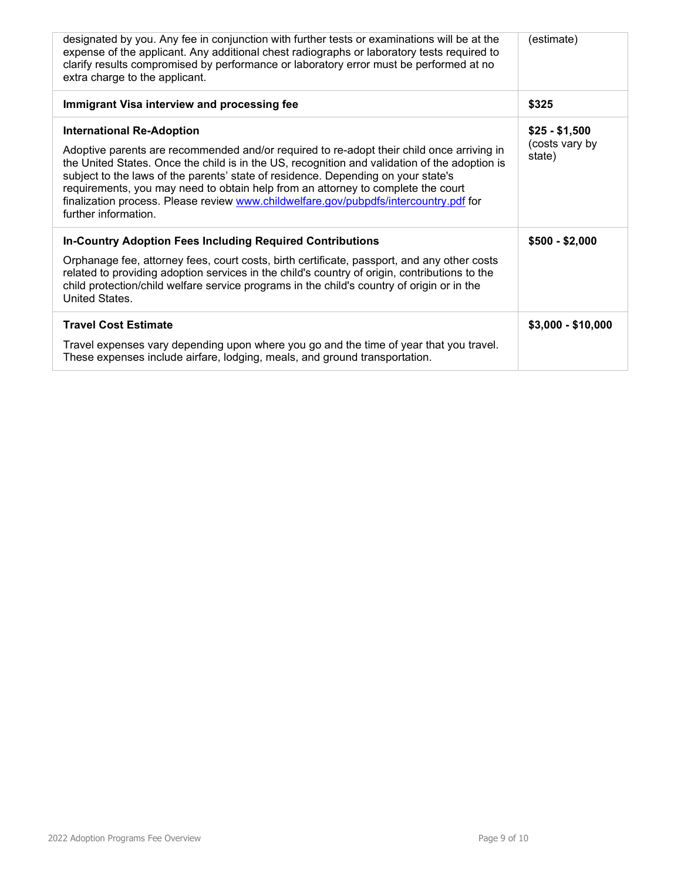| designated by you. Any fee in conjunction with further tests or examinations will be at the<br>expense of the applicant. Any additional chest radiographs or laboratory tests required to<br>clarify results compromised by performance or laboratory error must be performed at no<br>extra charge to the applicant.                                                                                                                                                                                                    | (estimate)                                 |
|--------------------------------------------------------------------------------------------------------------------------------------------------------------------------------------------------------------------------------------------------------------------------------------------------------------------------------------------------------------------------------------------------------------------------------------------------------------------------------------------------------------------------|--------------------------------------------|
| Immigrant Visa interview and processing fee                                                                                                                                                                                                                                                                                                                                                                                                                                                                              | \$325                                      |
| <b>International Re-Adoption</b><br>Adoptive parents are recommended and/or required to re-adopt their child once arriving in<br>the United States. Once the child is in the US, recognition and validation of the adoption is<br>subject to the laws of the parents' state of residence. Depending on your state's<br>requirements, you may need to obtain help from an attorney to complete the court<br>finalization process. Please review www.childwelfare.gov/pubpdfs/intercountry.pdf for<br>further information. | $$25 - $1,500$<br>(costs vary by<br>state) |
| <b>In-Country Adoption Fees Including Required Contributions</b><br>Orphanage fee, attorney fees, court costs, birth certificate, passport, and any other costs<br>related to providing adoption services in the child's country of origin, contributions to the<br>child protection/child welfare service programs in the child's country of origin or in the<br>United States.                                                                                                                                         | $$500 - $2,000$                            |
| <b>Travel Cost Estimate</b><br>Travel expenses vary depending upon where you go and the time of year that you travel.<br>These expenses include airfare, lodging, meals, and ground transportation.                                                                                                                                                                                                                                                                                                                      | $$3,000 - $10,000$                         |